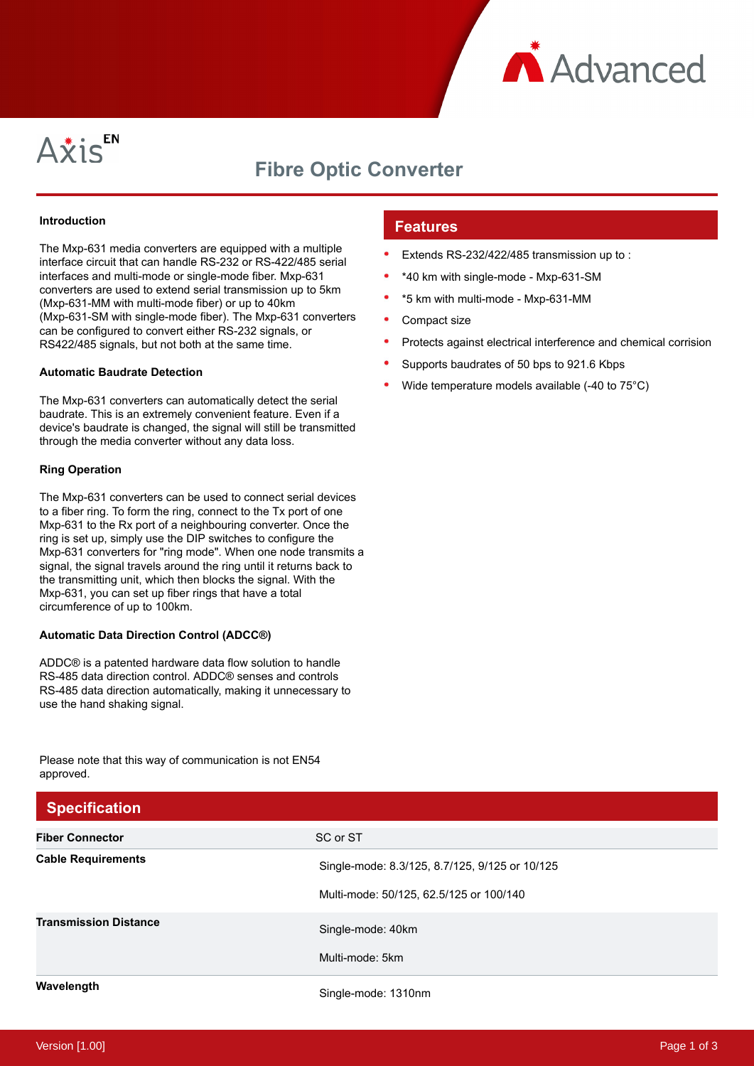



# **Fibre Optic Converter**

## **Introduction**

The Mxp-631 media converters are equipped with a multiple interface circuit that can handle RS-232 or RS-422/485 serial interfaces and multi-mode or single-mode fiber. Mxp-631 converters are used to extend serial transmission up to 5km (Mxp-631-MM with multi-mode fiber) or up to 40km (Mxp-631-SM with single-mode fiber). The Mxp-631 converters can be configured to convert either RS-232 signals, or RS422/485 signals, but not both at the same time.

#### **Automatic Baudrate Detection**

The Mxp-631 converters can automatically detect the serial baudrate. This is an extremely convenient feature. Even if a device's baudrate is changed, the signal will still be transmitted through the media converter without any data loss.

## **Ring Operation**

The Mxp-631 converters can be used to connect serial devices to a fiber ring. To form the ring, connect to the Tx port of one Mxp-631 to the Rx port of a neighbouring converter. Once the ring is set up, simply use the DIP switches to configure the Mxp-631 converters for "ring mode". When one node transmits a signal, the signal travels around the ring until it returns back to the transmitting unit, which then blocks the signal. With the Mxp-631, you can set up fiber rings that have a total circumference of up to 100km.

#### **Automatic Data Direction Control (ADCC®)**

ADDC® is a patented hardware data flow solution to handle RS-485 data direction control. ADDC® senses and controls RS-485 data direction automatically, making it unnecessary to use the hand shaking signal.

Please note that this way of communication is not EN54 approved.

# **Features**

- Extends RS-232/422/485 transmission up to :
- \*40 km with single-mode Mxp-631-SM
- \*5 km with multi-mode Mxp-631-MM
- Compact size
- Protects against electrical interference and chemical corrision
- Supports baudrates of 50 bps to 921.6 Kbps
- Wide temperature models available (-40 to 75°C)

| <b>Specification</b>         |                                                |
|------------------------------|------------------------------------------------|
| <b>Fiber Connector</b>       | SC or ST                                       |
| <b>Cable Requirements</b>    | Single-mode: 8.3/125, 8.7/125, 9/125 or 10/125 |
|                              | Multi-mode: 50/125, 62.5/125 or 100/140        |
| <b>Transmission Distance</b> | Single-mode: 40km                              |
|                              | Multi-mode: 5km                                |
| Wavelength                   | Single-mode: 1310nm                            |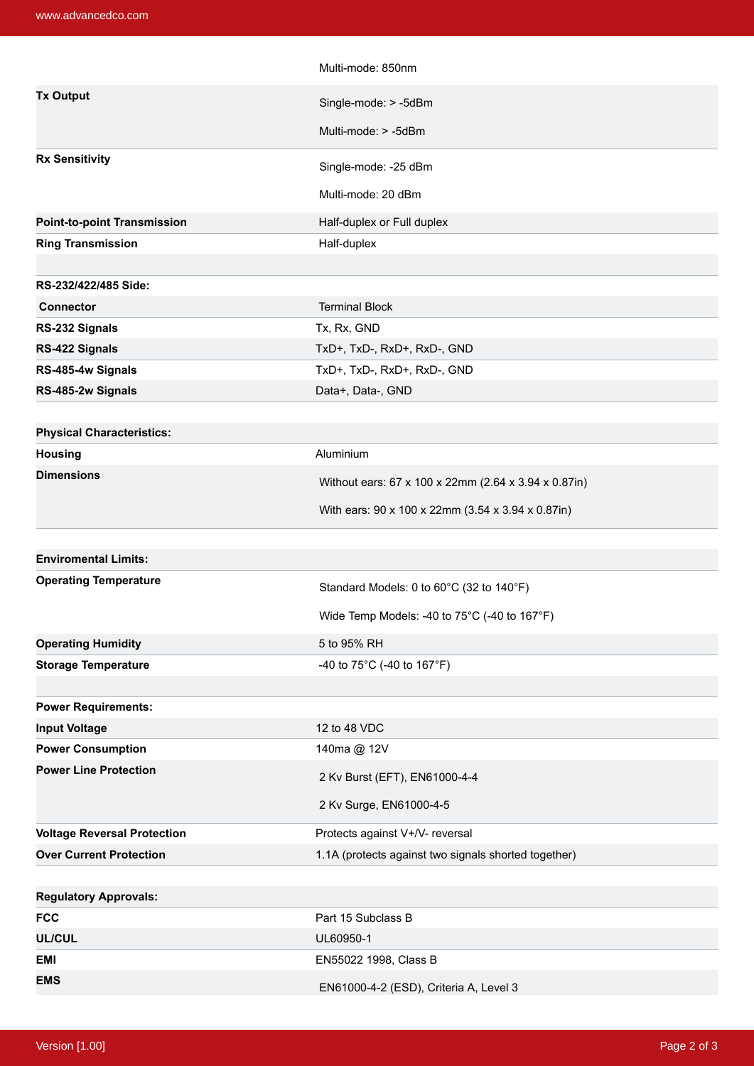|                                    | Multi-mode: 850nm                                    |
|------------------------------------|------------------------------------------------------|
| <b>Tx Output</b>                   | Single-mode: > -5dBm                                 |
|                                    | Multi-mode: > -5dBm                                  |
|                                    |                                                      |
| <b>Rx Sensitivity</b>              | Single-mode: -25 dBm                                 |
|                                    | Multi-mode: 20 dBm                                   |
| <b>Point-to-point Transmission</b> | Half-duplex or Full duplex                           |
| <b>Ring Transmission</b>           | Half-duplex                                          |
|                                    |                                                      |
| RS-232/422/485 Side:               |                                                      |
| <b>Connector</b>                   | <b>Terminal Block</b>                                |
| RS-232 Signals                     | Tx, Rx, GND                                          |
| RS-422 Signals                     | TxD+, TxD-, RxD+, RxD-, GND                          |
| RS-485-4w Signals                  | TxD+, TxD-, RxD+, RxD-, GND                          |
| RS-485-2w Signals                  | Data+, Data-, GND                                    |
|                                    |                                                      |
| <b>Physical Characteristics:</b>   |                                                      |
| <b>Housing</b>                     | Aluminium                                            |
| <b>Dimensions</b>                  | Without ears: 67 x 100 x 22mm (2.64 x 3.94 x 0.87in) |
|                                    | With ears: 90 x 100 x 22mm (3.54 x 3.94 x 0.87in)    |
|                                    |                                                      |
|                                    |                                                      |
| <b>Enviromental Limits:</b>        |                                                      |
| <b>Operating Temperature</b>       | Standard Models: 0 to 60°C (32 to 140°F)             |
|                                    |                                                      |
|                                    | Wide Temp Models: -40 to 75°C (-40 to 167°F)         |
| <b>Operating Humidity</b>          | 5 to 95% RH                                          |
| <b>Storage Temperature</b>         | -40 to 75°C (-40 to 167°F)                           |
|                                    |                                                      |
| <b>Power Requirements:</b>         |                                                      |
| <b>Input Voltage</b>               | 12 to 48 VDC                                         |
| <b>Power Consumption</b>           | 140ma @ 12V                                          |
| <b>Power Line Protection</b>       | 2 Kv Burst (EFT), EN61000-4-4                        |
|                                    | 2 Kv Surge, EN61000-4-5                              |
| <b>Voltage Reversal Protection</b> | Protects against V+/V- reversal                      |
| <b>Over Current Protection</b>     | 1.1A (protects against two signals shorted together) |
|                                    |                                                      |
| <b>Regulatory Approvals:</b>       |                                                      |
| <b>FCC</b>                         | Part 15 Subclass B                                   |
| <b>UL/CUL</b>                      | UL60950-1                                            |
| <b>EMI</b>                         | EN55022 1998, Class B                                |